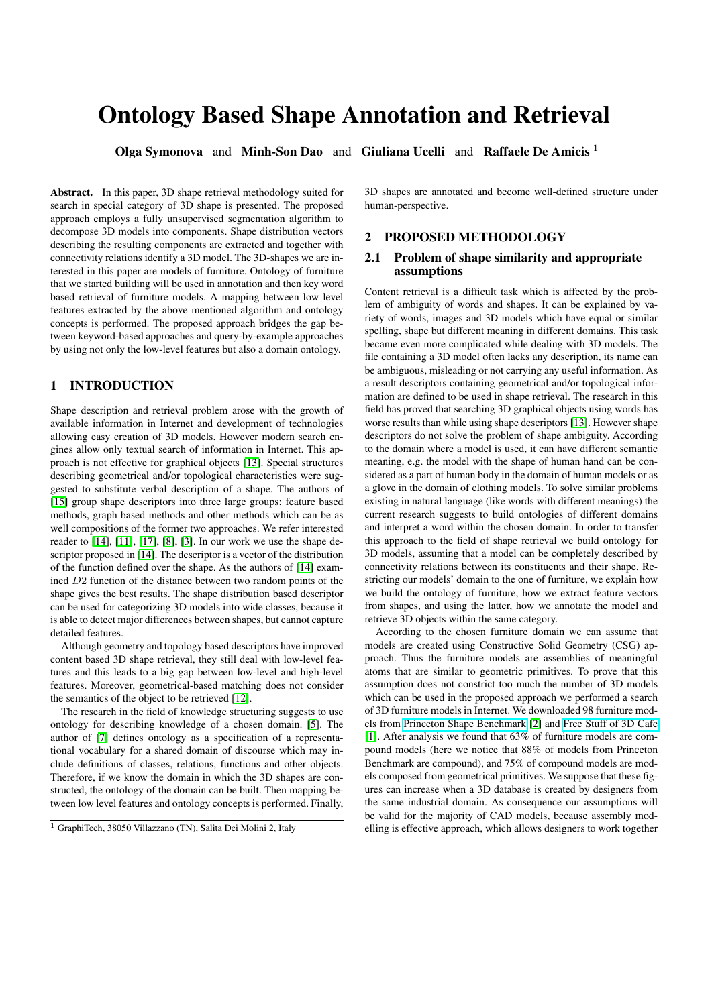# Ontology Based Shape Annotation and Retrieval

**Olga Symonova** and **Minh-Son Dao** and **Giuliana Ucelli** and **Raffaele De Amicis**  $^1$ 

Abstract. In this paper, 3D shape retrieval methodology suited for search in special category of 3D shape is presented. The proposed approach employs a fully unsupervised segmentation algorithm to decompose 3D models into components. Shape distribution vectors describing the resulting components are extracted and together with connectivity relations identify a 3D model. The 3D-shapes we are interested in this paper are models of furniture. Ontology of furniture that we started building will be used in annotation and then key word based retrieval of furniture models. A mapping between low level features extracted by the above mentioned algorithm and ontology concepts is performed. The proposed approach bridges the gap between keyword-based approaches and query-by-example approaches by using not only the low-level features but also a domain ontology.

## 1 INTRODUCTION

Shape description and retrieval problem arose with the growth of available information in Internet and development of technologies allowing easy creation of 3D models. However modern search engines allow only textual search of information in Internet. This approach is not effective for graphical objects [\[13\]](#page-3-0). Special structures describing geometrical and/or topological characteristics were suggested to substitute verbal description of a shape. The authors of [\[15\]](#page-3-1) group shape descriptors into three large groups: feature based methods, graph based methods and other methods which can be as well compositions of the former two approaches. We refer interested reader to [\[14\]](#page-3-2), [\[11\]](#page-3-3), [\[17\]](#page-3-4), [\[8\]](#page-3-5), [\[3\]](#page-3-6). In our work we use the shape descriptor proposed in [\[14\]](#page-3-2). The descriptor is a vector of the distribution of the function defined over the shape. As the authors of [\[14\]](#page-3-2) examined D2 function of the distance between two random points of the shape gives the best results. The shape distribution based descriptor can be used for categorizing 3D models into wide classes, because it is able to detect major differences between shapes, but cannot capture detailed features.

Although geometry and topology based descriptors have improved content based 3D shape retrieval, they still deal with low-level features and this leads to a big gap between low-level and high-level features. Moreover, geometrical-based matching does not consider the semantics of the object to be retrieved [\[12\]](#page-3-7).

The research in the field of knowledge structuring suggests to use ontology for describing knowledge of a chosen domain. [\[5\]](#page-3-8). The author of [\[7\]](#page-3-9) defines ontology as a specification of a representational vocabulary for a shared domain of discourse which may include definitions of classes, relations, functions and other objects. Therefore, if we know the domain in which the 3D shapes are constructed, the ontology of the domain can be built. Then mapping between low level features and ontology concepts is performed. Finally,

3D shapes are annotated and become well-defined structure under human-perspective.

## 2 PROPOSED METHODOLOGY

#### 2.1 Problem of shape similarity and appropriate assumptions

Content retrieval is a difficult task which is affected by the problem of ambiguity of words and shapes. It can be explained by variety of words, images and 3D models which have equal or similar spelling, shape but different meaning in different domains. This task became even more complicated while dealing with 3D models. The file containing a 3D model often lacks any description, its name can be ambiguous, misleading or not carrying any useful information. As a result descriptors containing geometrical and/or topological information are defined to be used in shape retrieval. The research in this field has proved that searching 3D graphical objects using words has worse results than while using shape descriptors [\[13\]](#page-3-0). However shape descriptors do not solve the problem of shape ambiguity. According to the domain where a model is used, it can have different semantic meaning, e.g. the model with the shape of human hand can be considered as a part of human body in the domain of human models or as a glove in the domain of clothing models. To solve similar problems existing in natural language (like words with different meanings) the current research suggests to build ontologies of different domains and interpret a word within the chosen domain. In order to transfer this approach to the field of shape retrieval we build ontology for 3D models, assuming that a model can be completely described by connectivity relations between its constituents and their shape. Restricting our models' domain to the one of furniture, we explain how we build the ontology of furniture, how we extract feature vectors from shapes, and using the latter, how we annotate the model and retrieve 3D objects within the same category.

According to the chosen furniture domain we can assume that models are created using Constructive Solid Geometry (CSG) approach. Thus the furniture models are assemblies of meaningful atoms that are similar to geometric primitives. To prove that this assumption does not constrict too much the number of 3D models which can be used in the proposed approach we performed a search of 3D furniture models in Internet. We downloaded 98 furniture models from [Princeton Shape Benchmark](http://shape.cs.princeton.edu/search.html) [\[2\]](#page-3-10) and [Free Stuff of 3D Cafe](http://www.3dcafe.com) [\[1\]](#page-3-11). After analysis we found that 63% of furniture models are compound models (here we notice that 88% of models from Princeton Benchmark are compound), and 75% of compound models are models composed from geometrical primitives. We suppose that these figures can increase when a 3D database is created by designers from the same industrial domain. As consequence our assumptions will be valid for the majority of CAD models, because assembly modelling is effective approach, which allows designers to work together

<sup>1</sup> GraphiTech, 38050 Villazzano (TN), Salita Dei Molini 2, Italy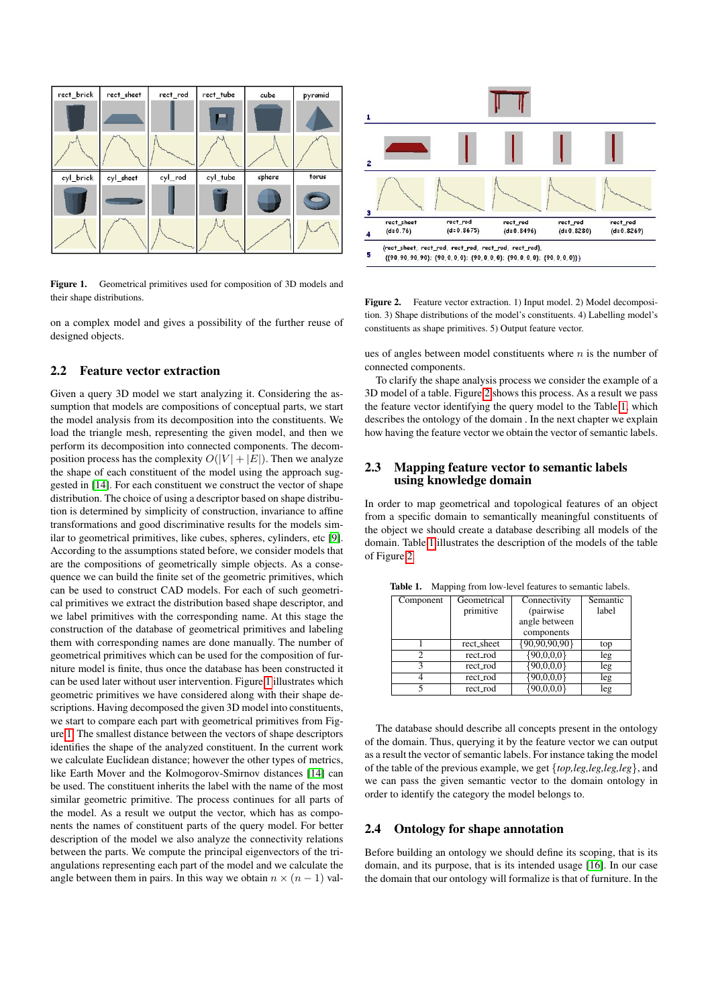

<span id="page-1-0"></span>Figure 1. Geometrical primitives used for composition of 3D models and their shape distributions.

on a complex model and gives a possibility of the further reuse of designed objects.

## 2.2 Feature vector extraction

Given a query 3D model we start analyzing it. Considering the assumption that models are compositions of conceptual parts, we start the model analysis from its decomposition into the constituents. We load the triangle mesh, representing the given model, and then we perform its decomposition into connected components. The decomposition process has the complexity  $O(|V| + |E|)$ . Then we analyze the shape of each constituent of the model using the approach suggested in [\[14\]](#page-3-2). For each constituent we construct the vector of shape distribution. The choice of using a descriptor based on shape distribution is determined by simplicity of construction, invariance to affine transformations and good discriminative results for the models similar to geometrical primitives, like cubes, spheres, cylinders, etc [\[9\]](#page-3-12). According to the assumptions stated before, we consider models that are the compositions of geometrically simple objects. As a consequence we can build the finite set of the geometric primitives, which can be used to construct CAD models. For each of such geometrical primitives we extract the distribution based shape descriptor, and we label primitives with the corresponding name. At this stage the construction of the database of geometrical primitives and labeling them with corresponding names are done manually. The number of geometrical primitives which can be used for the composition of furniture model is finite, thus once the database has been constructed it can be used later without user intervention. Figure [1](#page-1-0) illustrates which geometric primitives we have considered along with their shape descriptions. Having decomposed the given 3D model into constituents, we start to compare each part with geometrical primitives from Figure [1.](#page-1-0) The smallest distance between the vectors of shape descriptors identifies the shape of the analyzed constituent. In the current work we calculate Euclidean distance; however the other types of metrics, like Earth Mover and the Kolmogorov-Smirnov distances [\[14\]](#page-3-2) can be used. The constituent inherits the label with the name of the most similar geometric primitive. The process continues for all parts of the model. As a result we output the vector, which has as components the names of constituent parts of the query model. For better description of the model we also analyze the connectivity relations between the parts. We compute the principal eigenvectors of the triangulations representing each part of the model and we calculate the angle between them in pairs. In this way we obtain  $n \times (n-1)$  val-



<span id="page-1-1"></span>Figure 2. Feature vector extraction. 1) Input model. 2) Model decomposition. 3) Shape distributions of the model's constituents. 4) Labelling model's constituents as shape primitives. 5) Output feature vector.

ues of angles between model constituents where  $n$  is the number of connected components.

To clarify the shape analysis process we consider the example of a 3D model of a table. Figure [2](#page-1-1) shows this process. As a result we pass the feature vector identifying the query model to the Table [1,](#page-1-2) which describes the ontology of the domain . In the next chapter we explain how having the feature vector we obtain the vector of semantic labels.

## 2.3 Mapping feature vector to semantic labels using knowledge domain

In order to map geometrical and topological features of an object from a specific domain to semantically meaningful constituents of the object we should create a database describing all models of the domain. Table [1](#page-1-2) illustrates the description of the models of the table of Figure [2.](#page-1-1)

| Component | Geometrical | Connectivity         | Semantic |
|-----------|-------------|----------------------|----------|
|           | primitive   | (pairwise)           | label    |
|           |             | angle between        |          |
|           |             | components           |          |
|           | rect_sheet  | $\{90, 90, 90, 90\}$ | top      |
| 2         | rect_rod    | $\{90,0,0,0\}$       | leg      |
| ٩         | rect_rod    | $\{90,0,0,0\}$       | leg      |
|           | rect_rod    | 90,0,0,0             | leg      |
|           | rect_rod    |                      | leg      |

<span id="page-1-2"></span>Table 1. Mapping from low-level features to semantic labels.

The database should describe all concepts present in the ontology of the domain. Thus, querying it by the feature vector we can output as a result the vector of semantic labels. For instance taking the model of the table of the previous example, we get {*top,leg,leg,leg,leg*}, and we can pass the given semantic vector to the domain ontology in order to identify the category the model belongs to.

#### 2.4 Ontology for shape annotation

Before building an ontology we should define its scoping, that is its domain, and its purpose, that is its intended usage [\[16\]](#page-3-13). In our case the domain that our ontology will formalize is that of furniture. In the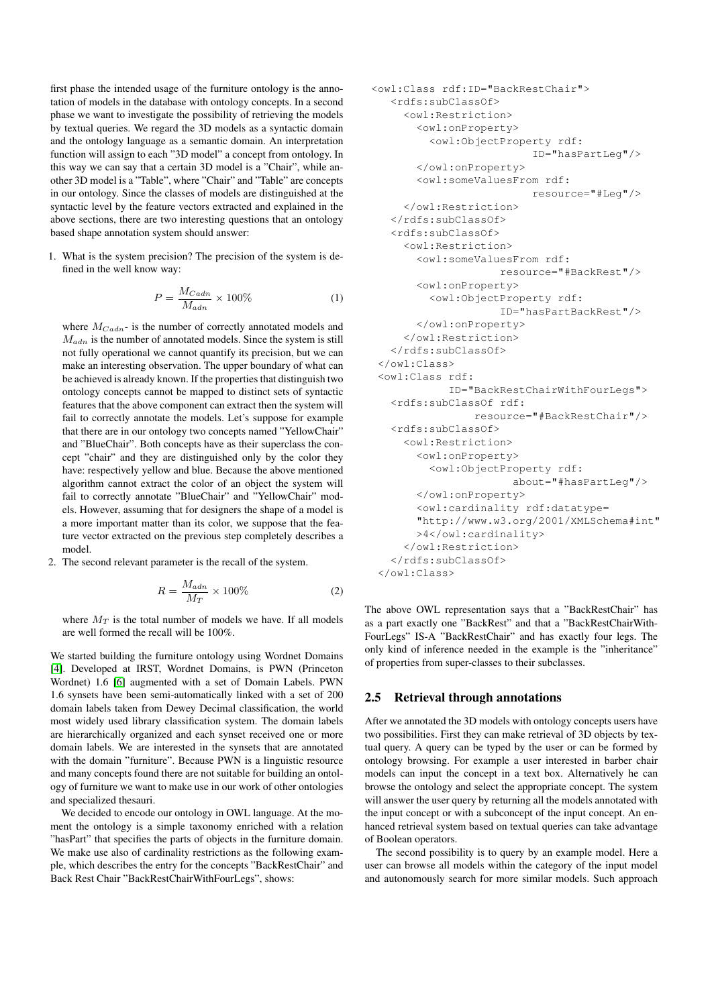first phase the intended usage of the furniture ontology is the annotation of models in the database with ontology concepts. In a second phase we want to investigate the possibility of retrieving the models by textual queries. We regard the 3D models as a syntactic domain and the ontology language as a semantic domain. An interpretation function will assign to each "3D model" a concept from ontology. In this way we can say that a certain 3D model is a "Chair", while another 3D model is a "Table", where "Chair" and "Table" are concepts in our ontology. Since the classes of models are distinguished at the syntactic level by the feature vectors extracted and explained in the above sections, there are two interesting questions that an ontology based shape annotation system should answer:

1. What is the system precision? The precision of the system is defined in the well know way:

$$
P = \frac{M_{Cadm}}{M_{adm}} \times 100\%
$$
 (1)

where  $M_{Cada}$ - is the number of correctly annotated models and  $M_{adn}$  is the number of annotated models. Since the system is still not fully operational we cannot quantify its precision, but we can make an interesting observation. The upper boundary of what can be achieved is already known. If the properties that distinguish two ontology concepts cannot be mapped to distinct sets of syntactic features that the above component can extract then the system will fail to correctly annotate the models. Let's suppose for example that there are in our ontology two concepts named "YellowChair" and "BlueChair". Both concepts have as their superclass the concept "chair" and they are distinguished only by the color they have: respectively yellow and blue. Because the above mentioned algorithm cannot extract the color of an object the system will fail to correctly annotate "BlueChair" and "YellowChair" models. However, assuming that for designers the shape of a model is a more important matter than its color, we suppose that the feature vector extracted on the previous step completely describes a model.

2. The second relevant parameter is the recall of the system.

$$
R = \frac{M_{adm}}{M_T} \times 100\%
$$
 (2)

where  $M_T$  is the total number of models we have. If all models are well formed the recall will be 100%.

We started building the furniture ontology using Wordnet Domains [\[4\]](#page-3-14). Developed at IRST, Wordnet Domains, is PWN (Princeton Wordnet) 1.6 [\[6\]](#page-3-15) augmented with a set of Domain Labels. PWN 1.6 synsets have been semi-automatically linked with a set of 200 domain labels taken from Dewey Decimal classification, the world most widely used library classification system. The domain labels are hierarchically organized and each synset received one or more domain labels. We are interested in the synsets that are annotated with the domain "furniture". Because PWN is a linguistic resource and many concepts found there are not suitable for building an ontology of furniture we want to make use in our work of other ontologies and specialized thesauri.

We decided to encode our ontology in OWL language. At the moment the ontology is a simple taxonomy enriched with a relation "hasPart" that specifies the parts of objects in the furniture domain. We make use also of cardinality restrictions as the following example, which describes the entry for the concepts "BackRestChair" and Back Rest Chair "BackRestChairWithFourLegs", shows:

```
<owl:Class rdf:ID="BackRestChair">
  <rdfs:subClassOf>
    <owl:Restriction>
      <owl:onProperty>
        <owl:ObjectProperty rdf:
                        ID="hasPartLeg"/>
      </owl:onProperty>
      <owl:someValuesFrom rdf:
                        resource="#Leg"/>
    </owl:Restriction>
  </rdfs:subClassOf>
  <rdfs:subClassOf>
    <owl:Restriction>
      <owl:someValuesFrom rdf:
                   resource="#BackRest"/>
      <owl:onProperty>
        <owl:ObjectProperty rdf:
                   ID="hasPartBackRest"/>
      </owl:onProperty>
    </owl:Restriction>
  </rdfs:subClassOf>
</owl:Class>
<owl:Class rdf:
           ID="BackRestChairWithFourLegs">
  <rdfs:subClassOf rdf:
               resource="#BackRestChair"/>
  <rdfs:subClassOf>
    <owl:Restriction>
      <owl:onProperty>
        <owl:ObjectProperty rdf:
                     about="#hasPartLeg"/>
      </owl:onProperty>
      <owl:cardinality rdf:datatype=
      "http://www.w3.org/2001/XMLSchema#int"
      >4</owl:cardinality>
    </owl:Restriction>
  </rdfs:subClassOf>
</owl:Class>
```
The above OWL representation says that a "BackRestChair" has as a part exactly one "BackRest" and that a "BackRestChairWith-FourLegs" IS-A "BackRestChair" and has exactly four legs. The only kind of inference needed in the example is the "inheritance" of properties from super-classes to their subclasses.

#### 2.5 Retrieval through annotations

After we annotated the 3D models with ontology concepts users have two possibilities. First they can make retrieval of 3D objects by textual query. A query can be typed by the user or can be formed by ontology browsing. For example a user interested in barber chair models can input the concept in a text box. Alternatively he can browse the ontology and select the appropriate concept. The system will answer the user query by returning all the models annotated with the input concept or with a subconcept of the input concept. An enhanced retrieval system based on textual queries can take advantage of Boolean operators.

The second possibility is to query by an example model. Here a user can browse all models within the category of the input model and autonomously search for more similar models. Such approach